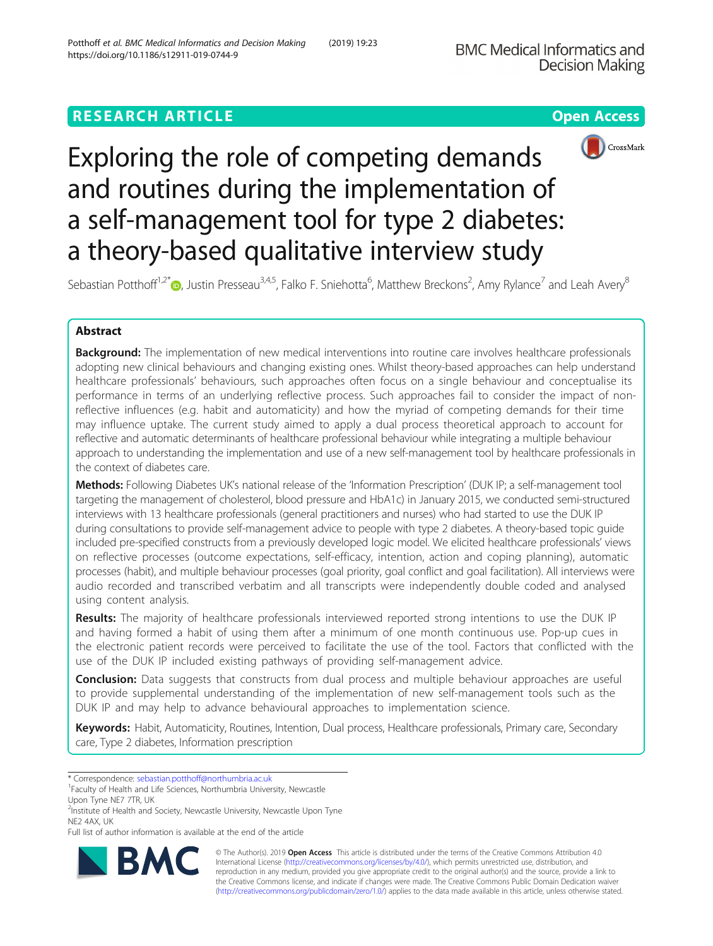# **RESEARCH ARTICLE Example 2018 12:30 THE Open Access**





Exploring the role of competing demands and routines during the implementation of a self-management tool for type 2 diabetes: a theory-based qualitative interview study

Sebastian Potthoff<sup>1,2\*</sup>®, Justin Presseau<sup>3,4,5</sup>, Falko F. Sniehotta<sup>6</sup>, Matthew Breckons<sup>2</sup>, Amy Rylance<sup>7</sup> and Leah Avery<sup>8</sup>

# Abstract

Background: The implementation of new medical interventions into routine care involves healthcare professionals adopting new clinical behaviours and changing existing ones. Whilst theory-based approaches can help understand healthcare professionals' behaviours, such approaches often focus on a single behaviour and conceptualise its performance in terms of an underlying reflective process. Such approaches fail to consider the impact of nonreflective influences (e.g. habit and automaticity) and how the myriad of competing demands for their time may influence uptake. The current study aimed to apply a dual process theoretical approach to account for reflective and automatic determinants of healthcare professional behaviour while integrating a multiple behaviour approach to understanding the implementation and use of a new self-management tool by healthcare professionals in the context of diabetes care.

Methods: Following Diabetes UK's national release of the 'Information Prescription' (DUK IP; a self-management tool targeting the management of cholesterol, blood pressure and HbA1c) in January 2015, we conducted semi-structured interviews with 13 healthcare professionals (general practitioners and nurses) who had started to use the DUK IP during consultations to provide self-management advice to people with type 2 diabetes. A theory-based topic guide included pre-specified constructs from a previously developed logic model. We elicited healthcare professionals' views on reflective processes (outcome expectations, self-efficacy, intention, action and coping planning), automatic processes (habit), and multiple behaviour processes (goal priority, goal conflict and goal facilitation). All interviews were audio recorded and transcribed verbatim and all transcripts were independently double coded and analysed using content analysis.

Results: The majority of healthcare professionals interviewed reported strong intentions to use the DUK IP and having formed a habit of using them after a minimum of one month continuous use. Pop-up cues in the electronic patient records were perceived to facilitate the use of the tool. Factors that conflicted with the use of the DUK IP included existing pathways of providing self-management advice.

**Conclusion:** Data suggests that constructs from dual process and multiple behaviour approaches are useful to provide supplemental understanding of the implementation of new self-management tools such as the DUK IP and may help to advance behavioural approaches to implementation science.

Keywords: Habit, Automaticity, Routines, Intention, Dual process, Healthcare professionals, Primary care, Secondary care, Type 2 diabetes, Information prescription

\* Correspondence: [sebastian.potthoff@northumbria.ac.uk](mailto:sebastian.potthoff@northumbria.ac.uk) <sup>1</sup>

Full list of author information is available at the end of the article



© The Author(s). 2019 **Open Access** This article is distributed under the terms of the Creative Commons Attribution 4.0 International License [\(http://creativecommons.org/licenses/by/4.0/](http://creativecommons.org/licenses/by/4.0/)), which permits unrestricted use, distribution, and reproduction in any medium, provided you give appropriate credit to the original author(s) and the source, provide a link to the Creative Commons license, and indicate if changes were made. The Creative Commons Public Domain Dedication waiver [\(http://creativecommons.org/publicdomain/zero/1.0/](http://creativecommons.org/publicdomain/zero/1.0/)) applies to the data made available in this article, unless otherwise stated.

<sup>&</sup>lt;sup>1</sup> Faculty of Health and Life Sciences, Northumbria University, Newcastle Upon Tyne NE7 7TR, UK

<sup>&</sup>lt;sup>2</sup>Institute of Health and Society, Newcastle University, Newcastle Upon Tyne NE2 4AX, UK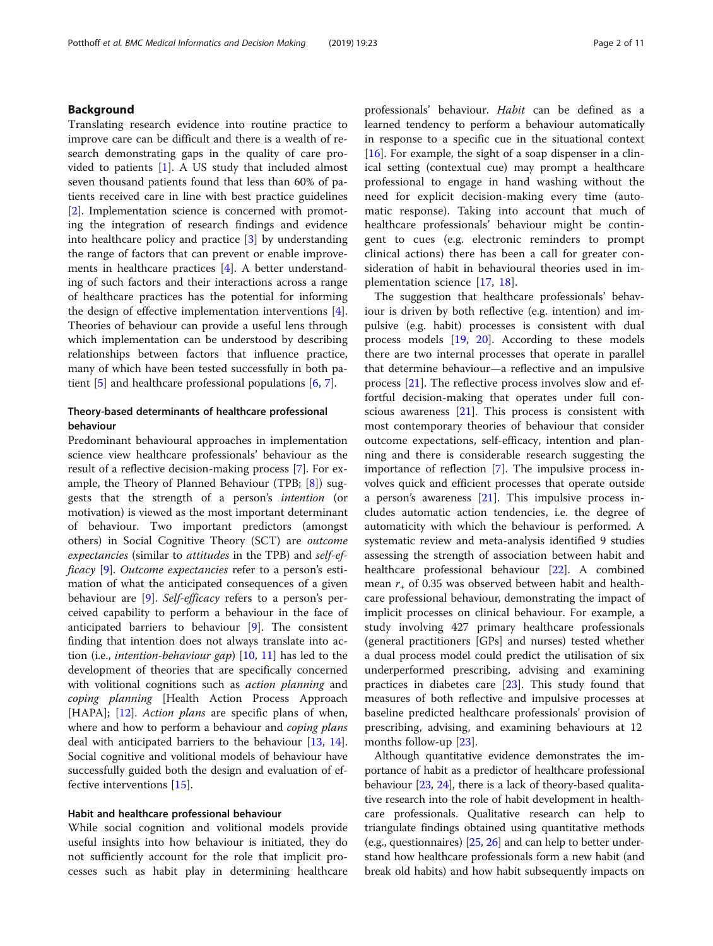# Background

Translating research evidence into routine practice to improve care can be difficult and there is a wealth of research demonstrating gaps in the quality of care provided to patients [\[1](#page-9-0)]. A US study that included almost seven thousand patients found that less than 60% of patients received care in line with best practice guidelines [[2\]](#page-9-0). Implementation science is concerned with promoting the integration of research findings and evidence into healthcare policy and practice [\[3](#page-9-0)] by understanding the range of factors that can prevent or enable improvements in healthcare practices [\[4](#page-9-0)]. A better understanding of such factors and their interactions across a range of healthcare practices has the potential for informing the design of effective implementation interventions [\[4](#page-9-0)]. Theories of behaviour can provide a useful lens through which implementation can be understood by describing relationships between factors that influence practice, many of which have been tested successfully in both patient [[5](#page-9-0)] and healthcare professional populations [\[6](#page-9-0), [7](#page-9-0)].

# Theory-based determinants of healthcare professional behaviour

Predominant behavioural approaches in implementation science view healthcare professionals' behaviour as the result of a reflective decision-making process [[7\]](#page-9-0). For example, the Theory of Planned Behaviour (TPB; [\[8](#page-9-0)]) suggests that the strength of a person's intention (or motivation) is viewed as the most important determinant of behaviour. Two important predictors (amongst others) in Social Cognitive Theory (SCT) are outcome expectancies (similar to attitudes in the TPB) and self-efficacy [\[9](#page-9-0)]. Outcome expectancies refer to a person's estimation of what the anticipated consequences of a given behaviour are [\[9](#page-9-0)]. Self-efficacy refers to a person's perceived capability to perform a behaviour in the face of anticipated barriers to behaviour [\[9](#page-9-0)]. The consistent finding that intention does not always translate into action (i.e., *intention-behaviour gap*)  $[10, 11]$  $[10, 11]$  $[10, 11]$  has led to the development of theories that are specifically concerned with volitional cognitions such as *action planning* and coping planning [Health Action Process Approach [HAPA]; [[12](#page-9-0)]. *Action plans* are specific plans of when, where and how to perform a behaviour and *coping plans* deal with anticipated barriers to the behaviour [\[13](#page-9-0), [14](#page-9-0)]. Social cognitive and volitional models of behaviour have successfully guided both the design and evaluation of effective interventions [\[15\]](#page-9-0).

# Habit and healthcare professional behaviour

While social cognition and volitional models provide useful insights into how behaviour is initiated, they do not sufficiently account for the role that implicit processes such as habit play in determining healthcare professionals' behaviour. Habit can be defined as a learned tendency to perform a behaviour automatically in response to a specific cue in the situational context [[16\]](#page-9-0). For example, the sight of a soap dispenser in a clinical setting (contextual cue) may prompt a healthcare professional to engage in hand washing without the need for explicit decision-making every time (automatic response). Taking into account that much of healthcare professionals' behaviour might be contingent to cues (e.g. electronic reminders to prompt clinical actions) there has been a call for greater consideration of habit in behavioural theories used in implementation science [[17,](#page-9-0) [18](#page-9-0)].

The suggestion that healthcare professionals' behaviour is driven by both reflective (e.g. intention) and impulsive (e.g. habit) processes is consistent with dual process models [[19,](#page-9-0) [20\]](#page-9-0). According to these models there are two internal processes that operate in parallel that determine behaviour—a reflective and an impulsive process [\[21](#page-9-0)]. The reflective process involves slow and effortful decision-making that operates under full conscious awareness [\[21\]](#page-9-0). This process is consistent with most contemporary theories of behaviour that consider outcome expectations, self-efficacy, intention and planning and there is considerable research suggesting the importance of reflection [[7\]](#page-9-0). The impulsive process involves quick and efficient processes that operate outside a person's awareness [[21](#page-9-0)]. This impulsive process includes automatic action tendencies, i.e. the degree of automaticity with which the behaviour is performed. A systematic review and meta-analysis identified 9 studies assessing the strength of association between habit and healthcare professional behaviour [\[22](#page-9-0)]. A combined mean  $r_{+}$  of 0.35 was observed between habit and healthcare professional behaviour, demonstrating the impact of implicit processes on clinical behaviour. For example, a study involving 427 primary healthcare professionals (general practitioners [GPs] and nurses) tested whether a dual process model could predict the utilisation of six underperformed prescribing, advising and examining practices in diabetes care [[23](#page-9-0)]. This study found that measures of both reflective and impulsive processes at baseline predicted healthcare professionals' provision of prescribing, advising, and examining behaviours at 12 months follow-up [[23\]](#page-9-0).

Although quantitative evidence demonstrates the importance of habit as a predictor of healthcare professional behaviour [\[23](#page-9-0), [24\]](#page-9-0), there is a lack of theory-based qualitative research into the role of habit development in healthcare professionals. Qualitative research can help to triangulate findings obtained using quantitative methods (e.g., questionnaires) [\[25,](#page-9-0) [26\]](#page-9-0) and can help to better understand how healthcare professionals form a new habit (and break old habits) and how habit subsequently impacts on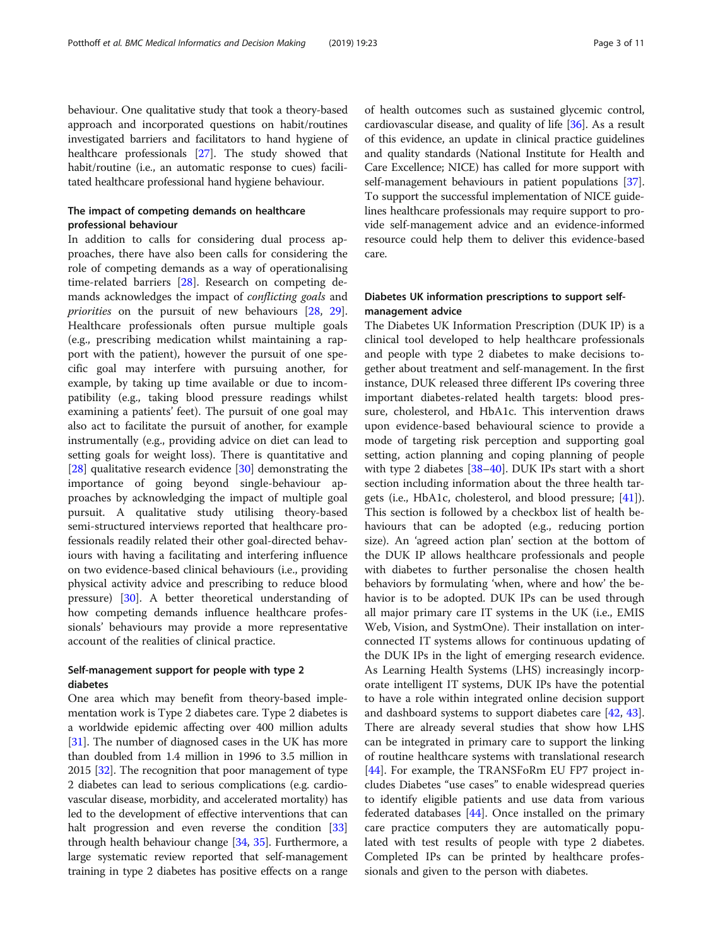behaviour. One qualitative study that took a theory-based approach and incorporated questions on habit/routines investigated barriers and facilitators to hand hygiene of healthcare professionals [[27](#page-9-0)]. The study showed that habit/routine (i.e., an automatic response to cues) facilitated healthcare professional hand hygiene behaviour.

# The impact of competing demands on healthcare professional behaviour

In addition to calls for considering dual process approaches, there have also been calls for considering the role of competing demands as a way of operationalising time-related barriers [\[28](#page-9-0)]. Research on competing demands acknowledges the impact of conflicting goals and priorities on the pursuit of new behaviours [[28,](#page-9-0) [29](#page-9-0)]. Healthcare professionals often pursue multiple goals (e.g., prescribing medication whilst maintaining a rapport with the patient), however the pursuit of one specific goal may interfere with pursuing another, for example, by taking up time available or due to incompatibility (e.g., taking blood pressure readings whilst examining a patients' feet). The pursuit of one goal may also act to facilitate the pursuit of another, for example instrumentally (e.g., providing advice on diet can lead to setting goals for weight loss). There is quantitative and [[28\]](#page-9-0) qualitative research evidence [[30](#page-9-0)] demonstrating the importance of going beyond single-behaviour approaches by acknowledging the impact of multiple goal pursuit. A qualitative study utilising theory-based semi-structured interviews reported that healthcare professionals readily related their other goal-directed behaviours with having a facilitating and interfering influence on two evidence-based clinical behaviours (i.e., providing physical activity advice and prescribing to reduce blood pressure) [[30](#page-9-0)]. A better theoretical understanding of how competing demands influence healthcare professionals' behaviours may provide a more representative account of the realities of clinical practice.

### Self-management support for people with type 2 diabetes

One area which may benefit from theory-based implementation work is Type 2 diabetes care. Type 2 diabetes is a worldwide epidemic affecting over 400 million adults [[31](#page-9-0)]. The number of diagnosed cases in the UK has more than doubled from 1.4 million in 1996 to 3.5 million in 2015 [\[32\]](#page-10-0). The recognition that poor management of type 2 diabetes can lead to serious complications (e.g. cardiovascular disease, morbidity, and accelerated mortality) has led to the development of effective interventions that can halt progression and even reverse the condition [[33](#page-10-0)] through health behaviour change [[34](#page-10-0), [35](#page-10-0)]. Furthermore, a large systematic review reported that self-management training in type 2 diabetes has positive effects on a range of health outcomes such as sustained glycemic control, cardiovascular disease, and quality of life [\[36](#page-10-0)]. As a result of this evidence, an update in clinical practice guidelines and quality standards (National Institute for Health and Care Excellence; NICE) has called for more support with self-management behaviours in patient populations [[37](#page-10-0)]. To support the successful implementation of NICE guidelines healthcare professionals may require support to provide self-management advice and an evidence-informed resource could help them to deliver this evidence-based care.

# Diabetes UK information prescriptions to support selfmanagement advice

The Diabetes UK Information Prescription (DUK IP) is a clinical tool developed to help healthcare professionals and people with type 2 diabetes to make decisions together about treatment and self-management. In the first instance, DUK released three different IPs covering three important diabetes-related health targets: blood pressure, cholesterol, and HbA1c. This intervention draws upon evidence-based behavioural science to provide a mode of targeting risk perception and supporting goal setting, action planning and coping planning of people with type 2 diabetes [[38](#page-10-0)–[40](#page-10-0)]. DUK IPs start with a short section including information about the three health targets (i.e., HbA1c, cholesterol, and blood pressure; [\[41](#page-10-0)]). This section is followed by a checkbox list of health behaviours that can be adopted (e.g., reducing portion size). An 'agreed action plan' section at the bottom of the DUK IP allows healthcare professionals and people with diabetes to further personalise the chosen health behaviors by formulating 'when, where and how' the behavior is to be adopted. DUK IPs can be used through all major primary care IT systems in the UK (i.e., EMIS Web, Vision, and SystmOne). Their installation on interconnected IT systems allows for continuous updating of the DUK IPs in the light of emerging research evidence. As Learning Health Systems (LHS) increasingly incorporate intelligent IT systems, DUK IPs have the potential to have a role within integrated online decision support and dashboard systems to support diabetes care [\[42](#page-10-0), [43](#page-10-0)]. There are already several studies that show how LHS can be integrated in primary care to support the linking of routine healthcare systems with translational research [[44\]](#page-10-0). For example, the TRANSFoRm EU FP7 project includes Diabetes "use cases" to enable widespread queries to identify eligible patients and use data from various federated databases [\[44](#page-10-0)]. Once installed on the primary care practice computers they are automatically populated with test results of people with type 2 diabetes. Completed IPs can be printed by healthcare professionals and given to the person with diabetes.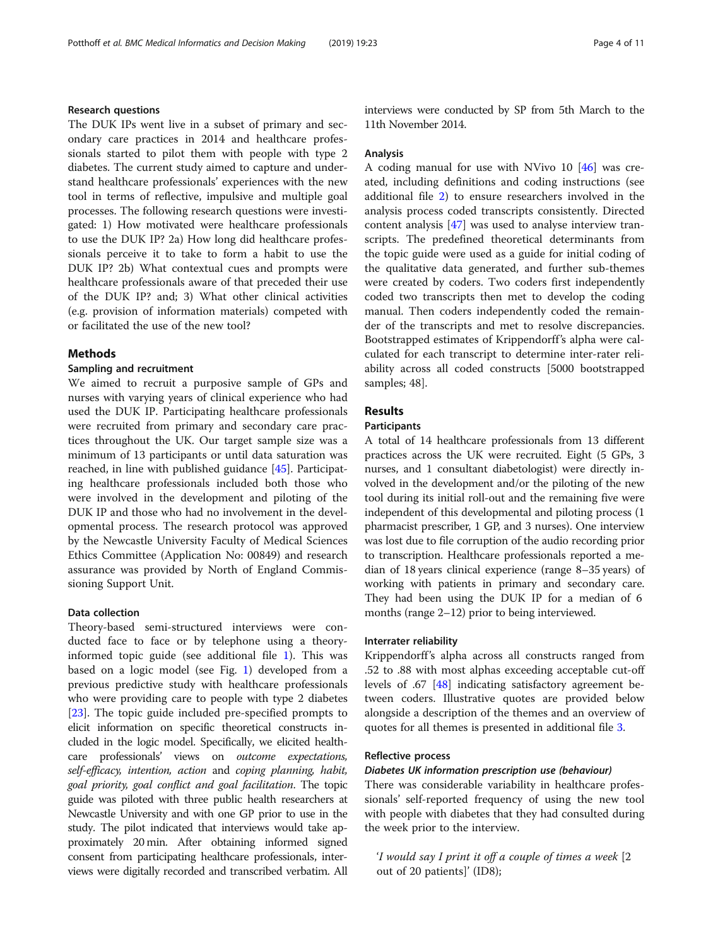# Research questions

The DUK IPs went live in a subset of primary and secondary care practices in 2014 and healthcare professionals started to pilot them with people with type 2 diabetes. The current study aimed to capture and understand healthcare professionals' experiences with the new tool in terms of reflective, impulsive and multiple goal processes. The following research questions were investigated: 1) How motivated were healthcare professionals to use the DUK IP? 2a) How long did healthcare professionals perceive it to take to form a habit to use the DUK IP? 2b) What contextual cues and prompts were healthcare professionals aware of that preceded their use of the DUK IP? and; 3) What other clinical activities (e.g. provision of information materials) competed with or facilitated the use of the new tool?

### Methods

### Sampling and recruitment

We aimed to recruit a purposive sample of GPs and nurses with varying years of clinical experience who had used the DUK IP. Participating healthcare professionals were recruited from primary and secondary care practices throughout the UK. Our target sample size was a minimum of 13 participants or until data saturation was reached, in line with published guidance [[45\]](#page-10-0). Participating healthcare professionals included both those who were involved in the development and piloting of the DUK IP and those who had no involvement in the developmental process. The research protocol was approved by the Newcastle University Faculty of Medical Sciences Ethics Committee (Application No: 00849) and research assurance was provided by North of England Commissioning Support Unit.

# Data collection

Theory-based semi-structured interviews were conducted face to face or by telephone using a theoryinformed topic guide (see additional file [1\)](#page-8-0). This was based on a logic model (see Fig. [1\)](#page-4-0) developed from a previous predictive study with healthcare professionals who were providing care to people with type 2 diabetes [[23\]](#page-9-0). The topic guide included pre-specified prompts to elicit information on specific theoretical constructs included in the logic model. Specifically, we elicited healthcare professionals' views on outcome expectations, self-efficacy, intention, action and coping planning, habit, goal priority, goal conflict and goal facilitation. The topic guide was piloted with three public health researchers at Newcastle University and with one GP prior to use in the study. The pilot indicated that interviews would take approximately 20 min. After obtaining informed signed consent from participating healthcare professionals, interviews were digitally recorded and transcribed verbatim. All interviews were conducted by SP from 5th March to the 11th November 2014.

#### Analysis

A coding manual for use with NVivo 10 [[46\]](#page-10-0) was created, including definitions and coding instructions (see additional file [2\)](#page-8-0) to ensure researchers involved in the analysis process coded transcripts consistently. Directed content analysis [[47\]](#page-10-0) was used to analyse interview transcripts. The predefined theoretical determinants from the topic guide were used as a guide for initial coding of the qualitative data generated, and further sub-themes were created by coders. Two coders first independently coded two transcripts then met to develop the coding manual. Then coders independently coded the remainder of the transcripts and met to resolve discrepancies. Bootstrapped estimates of Krippendorff's alpha were calculated for each transcript to determine inter-rater reliability across all coded constructs [5000 bootstrapped samples; 48].

# Results

### Participants

A total of 14 healthcare professionals from 13 different practices across the UK were recruited. Eight (5 GPs, 3 nurses, and 1 consultant diabetologist) were directly involved in the development and/or the piloting of the new tool during its initial roll-out and the remaining five were independent of this developmental and piloting process (1 pharmacist prescriber, 1 GP, and 3 nurses). One interview was lost due to file corruption of the audio recording prior to transcription. Healthcare professionals reported a median of 18 years clinical experience (range 8–35 years) of working with patients in primary and secondary care. They had been using the DUK IP for a median of 6 months (range 2–12) prior to being interviewed.

### Interrater reliability

Krippendorff's alpha across all constructs ranged from .52 to .88 with most alphas exceeding acceptable cut-off levels of .67 [[48](#page-10-0)] indicating satisfactory agreement between coders. Illustrative quotes are provided below alongside a description of the themes and an overview of quotes for all themes is presented in additional file [3](#page-8-0).

# Reflective process

#### Diabetes UK information prescription use (behaviour)

There was considerable variability in healthcare professionals' self-reported frequency of using the new tool with people with diabetes that they had consulted during the week prior to the interview.

'I would say I print it off a couple of times a week [2 out of 20 patients]' (ID8);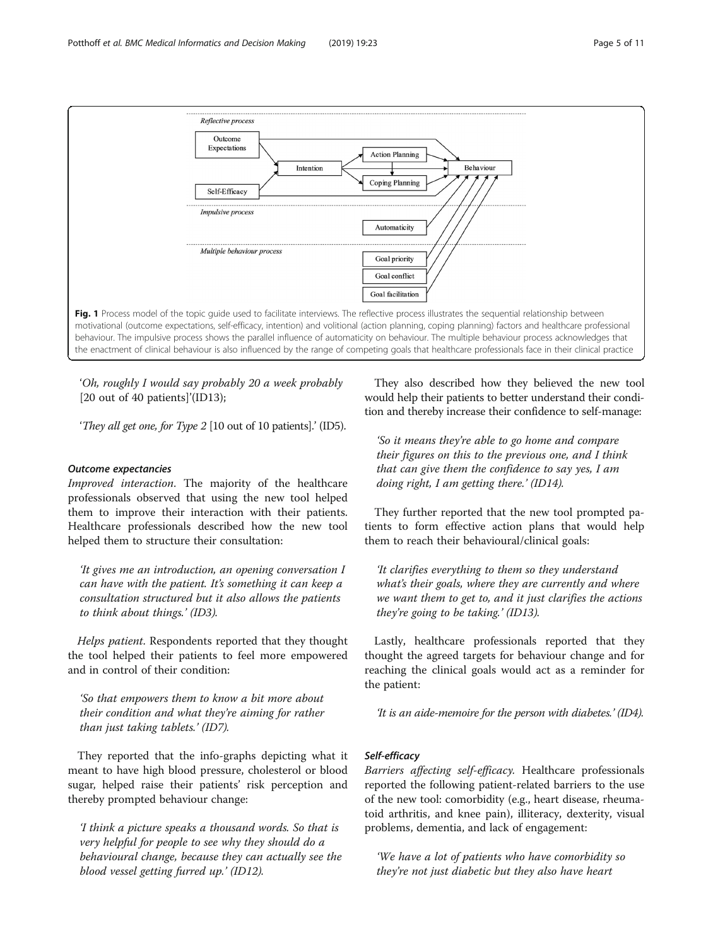<span id="page-4-0"></span>

'Oh, roughly I would say probably 20 a week probably [20 out of 40 patients]'(ID13);

'They all get one, for Type 2 [10 out of 10 patients].' (ID5).

### Outcome expectancies

Improved interaction. The majority of the healthcare professionals observed that using the new tool helped them to improve their interaction with their patients. Healthcare professionals described how the new tool helped them to structure their consultation:

'It gives me an introduction, an opening conversation I can have with the patient. It's something it can keep a consultation structured but it also allows the patients to think about things.' (ID3).

Helps patient. Respondents reported that they thought the tool helped their patients to feel more empowered and in control of their condition:

'So that empowers them to know a bit more about their condition and what they're aiming for rather than just taking tablets.' (ID7).

They reported that the info-graphs depicting what it meant to have high blood pressure, cholesterol or blood sugar, helped raise their patients' risk perception and thereby prompted behaviour change:

'I think a picture speaks a thousand words. So that is very helpful for people to see why they should do a behavioural change, because they can actually see the blood vessel getting furred up.' (ID12).

They also described how they believed the new tool would help their patients to better understand their condition and thereby increase their confidence to self-manage:

'So it means they're able to go home and compare their figures on this to the previous one, and I think that can give them the confidence to say yes, I am doing right, I am getting there.' (ID14).

They further reported that the new tool prompted patients to form effective action plans that would help them to reach their behavioural/clinical goals:

'It clarifies everything to them so they understand what's their goals, where they are currently and where we want them to get to, and it just clarifies the actions they're going to be taking.' (ID13).

Lastly, healthcare professionals reported that they thought the agreed targets for behaviour change and for reaching the clinical goals would act as a reminder for the patient:

'It is an aide-memoire for the person with diabetes.' (ID4).

# Self-efficacy

Barriers affecting self-efficacy. Healthcare professionals reported the following patient-related barriers to the use of the new tool: comorbidity (e.g., heart disease, rheumatoid arthritis, and knee pain), illiteracy, dexterity, visual problems, dementia, and lack of engagement:

'We have a lot of patients who have comorbidity so they're not just diabetic but they also have heart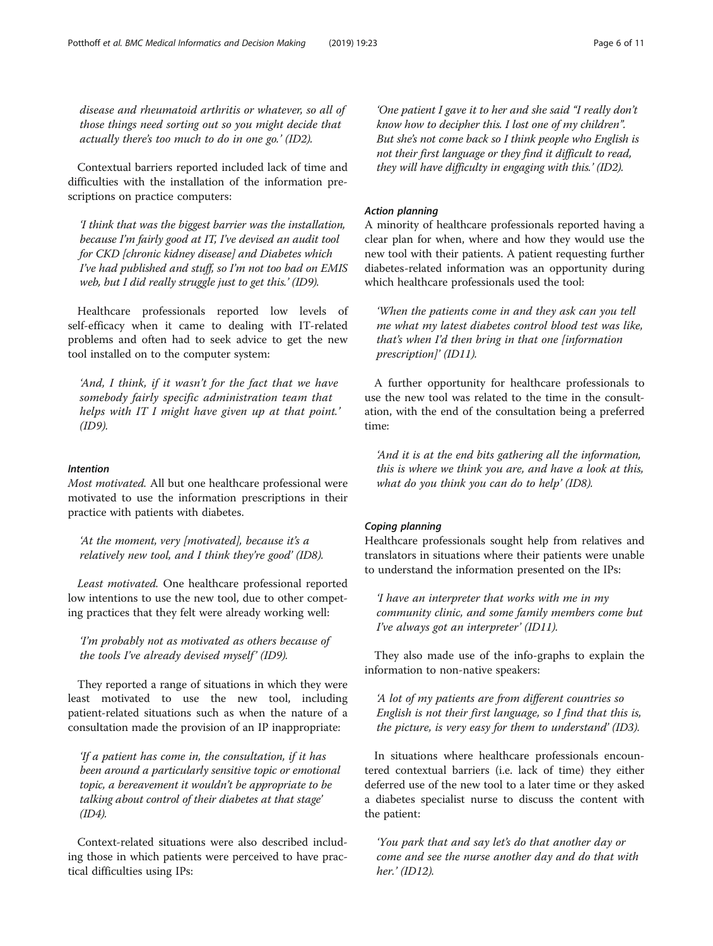disease and rheumatoid arthritis or whatever, so all of those things need sorting out so you might decide that actually there's too much to do in one go.' (ID2).

Contextual barriers reported included lack of time and difficulties with the installation of the information prescriptions on practice computers:

'I think that was the biggest barrier was the installation, because I'm fairly good at IT, I've devised an audit tool for CKD [chronic kidney disease] and Diabetes which I've had published and stuff, so I'm not too bad on EMIS web, but I did really struggle just to get this.' (ID9).

Healthcare professionals reported low levels of self-efficacy when it came to dealing with IT-related problems and often had to seek advice to get the new tool installed on to the computer system:

'And, I think, if it wasn't for the fact that we have somebody fairly specific administration team that helps with IT I might have given up at that point.' (ID9).

### Intention

Most motivated. All but one healthcare professional were motivated to use the information prescriptions in their practice with patients with diabetes.

'At the moment, very [motivated], because it's a relatively new tool, and I think they're good' (ID8).

Least motivated. One healthcare professional reported low intentions to use the new tool, due to other competing practices that they felt were already working well:

'I'm probably not as motivated as others because of the tools I've already devised myself' (ID9).

They reported a range of situations in which they were least motivated to use the new tool, including patient-related situations such as when the nature of a consultation made the provision of an IP inappropriate:

'If a patient has come in, the consultation, if it has been around a particularly sensitive topic or emotional topic, a bereavement it wouldn't be appropriate to be talking about control of their diabetes at that stage' (ID4).

Context-related situations were also described including those in which patients were perceived to have practical difficulties using IPs:

'One patient I gave it to her and she said "I really don't know how to decipher this. I lost one of my children". But she's not come back so I think people who English is not their first language or they find it difficult to read, they will have difficulty in engaging with this.' (ID2).

### Action planning

A minority of healthcare professionals reported having a clear plan for when, where and how they would use the new tool with their patients. A patient requesting further diabetes-related information was an opportunity during which healthcare professionals used the tool:

'When the patients come in and they ask can you tell me what my latest diabetes control blood test was like, that's when I'd then bring in that one [information prescription]' (ID11).

A further opportunity for healthcare professionals to use the new tool was related to the time in the consultation, with the end of the consultation being a preferred time:

'And it is at the end bits gathering all the information, this is where we think you are, and have a look at this, what do you think you can do to help' (ID8).

#### Coping planning

Healthcare professionals sought help from relatives and translators in situations where their patients were unable to understand the information presented on the IPs:

'I have an interpreter that works with me in my community clinic, and some family members come but I've always got an interpreter' (ID11).

They also made use of the info-graphs to explain the information to non-native speakers:

'A lot of my patients are from different countries so English is not their first language, so I find that this is, the picture, is very easy for them to understand' (ID3).

In situations where healthcare professionals encountered contextual barriers (i.e. lack of time) they either deferred use of the new tool to a later time or they asked a diabetes specialist nurse to discuss the content with the patient:

'You park that and say let's do that another day or come and see the nurse another day and do that with her.' (ID12).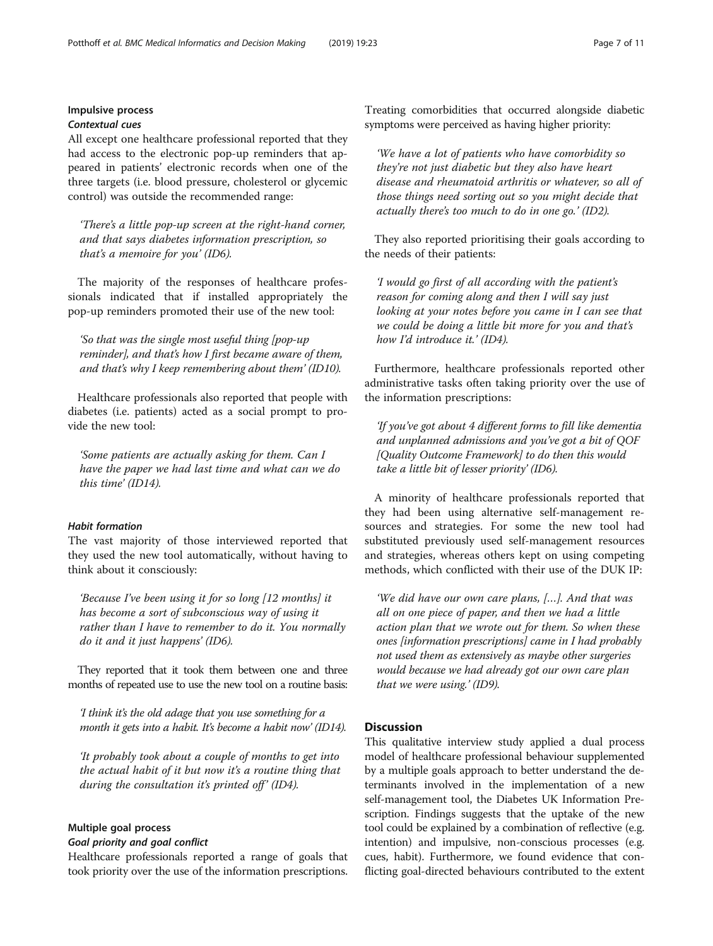# Impulsive process Contextual cues

All except one healthcare professional reported that they had access to the electronic pop-up reminders that appeared in patients' electronic records when one of the three targets (i.e. blood pressure, cholesterol or glycemic control) was outside the recommended range:

'There's a little pop-up screen at the right-hand corner, and that says diabetes information prescription, so that's a memoire for you' (ID6).

The majority of the responses of healthcare professionals indicated that if installed appropriately the pop-up reminders promoted their use of the new tool:

'So that was the single most useful thing [pop-up reminder], and that's how I first became aware of them, and that's why I keep remembering about them' (ID10).

Healthcare professionals also reported that people with diabetes (i.e. patients) acted as a social prompt to provide the new tool:

'Some patients are actually asking for them. Can I have the paper we had last time and what can we do this time' (ID14).

#### Habit formation

The vast majority of those interviewed reported that they used the new tool automatically, without having to think about it consciously:

'Because I've been using it for so long [12 months] it has become a sort of subconscious way of using it rather than I have to remember to do it. You normally do it and it just happens' (ID6).

They reported that it took them between one and three months of repeated use to use the new tool on a routine basis:

'I think it's the old adage that you use something for a month it gets into a habit. It's become a habit now' (ID14).

'It probably took about a couple of months to get into the actual habit of it but now it's a routine thing that during the consultation it's printed off' (ID4).

### Multiple goal process

### Goal priority and goal conflict

Healthcare professionals reported a range of goals that took priority over the use of the information prescriptions. Treating comorbidities that occurred alongside diabetic symptoms were perceived as having higher priority:

'We have a lot of patients who have comorbidity so they're not just diabetic but they also have heart disease and rheumatoid arthritis or whatever, so all of those things need sorting out so you might decide that actually there's too much to do in one go.' (ID2).

They also reported prioritising their goals according to the needs of their patients:

'I would go first of all according with the patient's reason for coming along and then I will say just looking at your notes before you came in I can see that we could be doing a little bit more for you and that's how I'd introduce it.' (ID4).

Furthermore, healthcare professionals reported other administrative tasks often taking priority over the use of the information prescriptions:

'If you've got about 4 different forms to fill like dementia and unplanned admissions and you've got a bit of QOF [Quality Outcome Framework] to do then this would take a little bit of lesser priority' (ID6).

A minority of healthcare professionals reported that they had been using alternative self-management resources and strategies. For some the new tool had substituted previously used self-management resources and strategies, whereas others kept on using competing methods, which conflicted with their use of the DUK IP:

'We did have our own care plans, […]. And that was all on one piece of paper, and then we had a little action plan that we wrote out for them. So when these ones [information prescriptions] came in I had probably not used them as extensively as maybe other surgeries would because we had already got our own care plan that we were using.' (ID9).

### **Discussion**

This qualitative interview study applied a dual process model of healthcare professional behaviour supplemented by a multiple goals approach to better understand the determinants involved in the implementation of a new self-management tool, the Diabetes UK Information Prescription. Findings suggests that the uptake of the new tool could be explained by a combination of reflective (e.g. intention) and impulsive, non-conscious processes (e.g. cues, habit). Furthermore, we found evidence that conflicting goal-directed behaviours contributed to the extent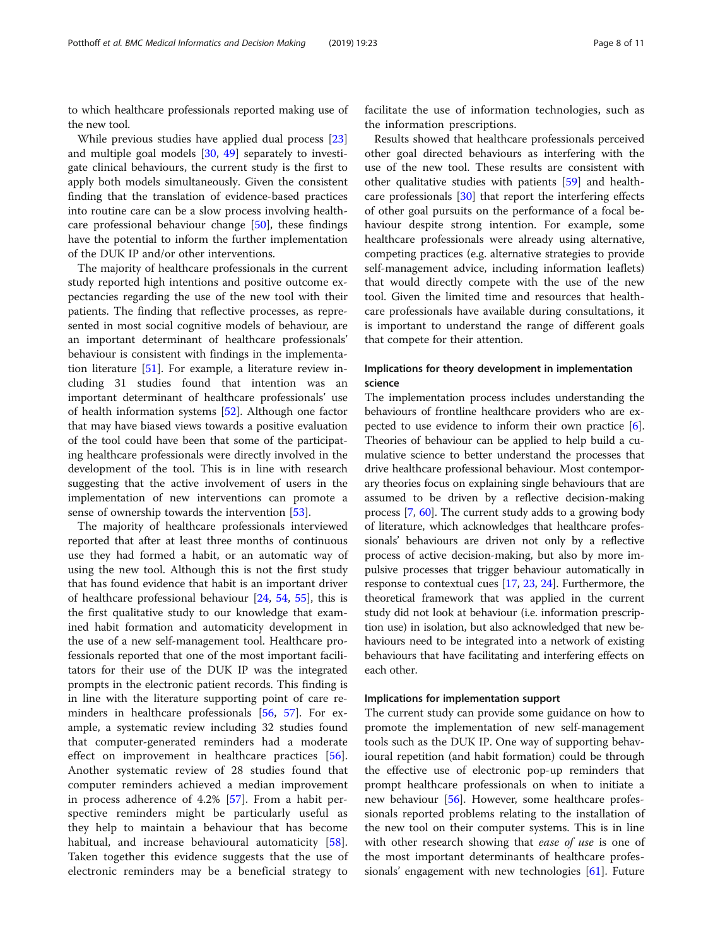to which healthcare professionals reported making use of the new tool.

While previous studies have applied dual process [[23](#page-9-0)] and multiple goal models [[30,](#page-9-0) [49\]](#page-10-0) separately to investigate clinical behaviours, the current study is the first to apply both models simultaneously. Given the consistent finding that the translation of evidence-based practices into routine care can be a slow process involving healthcare professional behaviour change [[50\]](#page-10-0), these findings have the potential to inform the further implementation of the DUK IP and/or other interventions.

The majority of healthcare professionals in the current study reported high intentions and positive outcome expectancies regarding the use of the new tool with their patients. The finding that reflective processes, as represented in most social cognitive models of behaviour, are an important determinant of healthcare professionals' behaviour is consistent with findings in the implementation literature [\[51](#page-10-0)]. For example, a literature review including 31 studies found that intention was an important determinant of healthcare professionals' use of health information systems [[52](#page-10-0)]. Although one factor that may have biased views towards a positive evaluation of the tool could have been that some of the participating healthcare professionals were directly involved in the development of the tool. This is in line with research suggesting that the active involvement of users in the implementation of new interventions can promote a sense of ownership towards the intervention [[53\]](#page-10-0).

The majority of healthcare professionals interviewed reported that after at least three months of continuous use they had formed a habit, or an automatic way of using the new tool. Although this is not the first study that has found evidence that habit is an important driver of healthcare professional behaviour [[24,](#page-9-0) [54](#page-10-0), [55](#page-10-0)], this is the first qualitative study to our knowledge that examined habit formation and automaticity development in the use of a new self-management tool. Healthcare professionals reported that one of the most important facilitators for their use of the DUK IP was the integrated prompts in the electronic patient records. This finding is in line with the literature supporting point of care reminders in healthcare professionals [\[56,](#page-10-0) [57\]](#page-10-0). For example, a systematic review including 32 studies found that computer-generated reminders had a moderate effect on improvement in healthcare practices [\[56](#page-10-0)]. Another systematic review of 28 studies found that computer reminders achieved a median improvement in process adherence of 4.2% [[57\]](#page-10-0). From a habit perspective reminders might be particularly useful as they help to maintain a behaviour that has become habitual, and increase behavioural automaticity [\[58](#page-10-0)]. Taken together this evidence suggests that the use of electronic reminders may be a beneficial strategy to facilitate the use of information technologies, such as the information prescriptions.

Results showed that healthcare professionals perceived other goal directed behaviours as interfering with the use of the new tool. These results are consistent with other qualitative studies with patients [[59\]](#page-10-0) and healthcare professionals [[30](#page-9-0)] that report the interfering effects of other goal pursuits on the performance of a focal behaviour despite strong intention. For example, some healthcare professionals were already using alternative, competing practices (e.g. alternative strategies to provide self-management advice, including information leaflets) that would directly compete with the use of the new tool. Given the limited time and resources that healthcare professionals have available during consultations, it is important to understand the range of different goals that compete for their attention.

# Implications for theory development in implementation science

The implementation process includes understanding the behaviours of frontline healthcare providers who are expected to use evidence to inform their own practice [[6](#page-9-0)]. Theories of behaviour can be applied to help build a cumulative science to better understand the processes that drive healthcare professional behaviour. Most contemporary theories focus on explaining single behaviours that are assumed to be driven by a reflective decision-making process [\[7](#page-9-0), [60](#page-10-0)]. The current study adds to a growing body of literature, which acknowledges that healthcare professionals' behaviours are driven not only by a reflective process of active decision-making, but also by more impulsive processes that trigger behaviour automatically in response to contextual cues [\[17](#page-9-0), [23,](#page-9-0) [24\]](#page-9-0). Furthermore, the theoretical framework that was applied in the current study did not look at behaviour (i.e. information prescription use) in isolation, but also acknowledged that new behaviours need to be integrated into a network of existing behaviours that have facilitating and interfering effects on each other.

#### Implications for implementation support

The current study can provide some guidance on how to promote the implementation of new self-management tools such as the DUK IP. One way of supporting behavioural repetition (and habit formation) could be through the effective use of electronic pop-up reminders that prompt healthcare professionals on when to initiate a new behaviour [\[56](#page-10-0)]. However, some healthcare professionals reported problems relating to the installation of the new tool on their computer systems. This is in line with other research showing that *ease of use* is one of the most important determinants of healthcare professionals' engagement with new technologies [\[61](#page-10-0)]. Future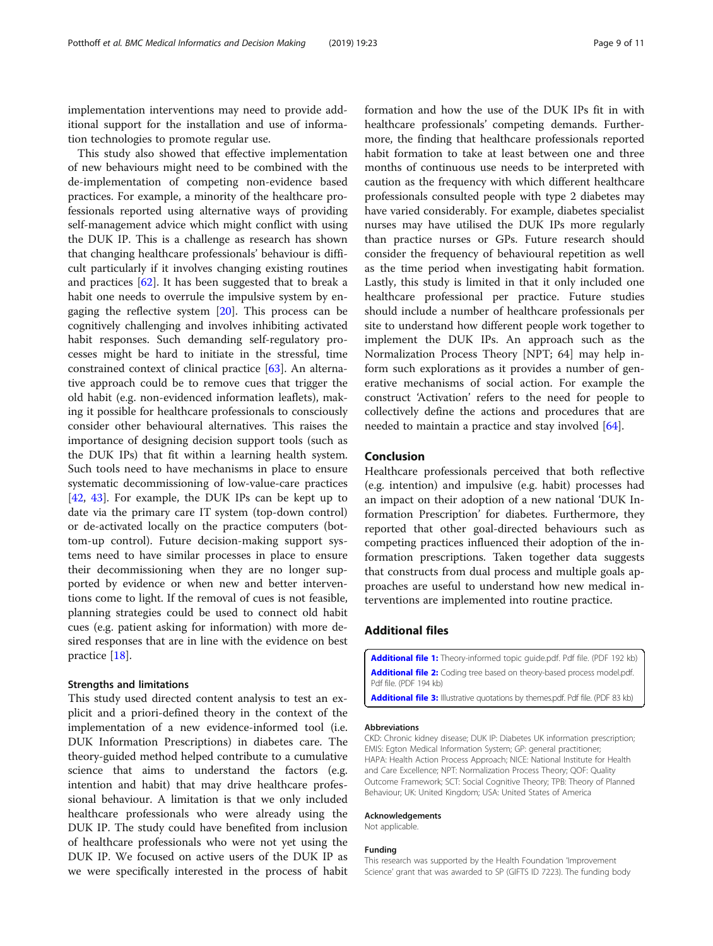<span id="page-8-0"></span>implementation interventions may need to provide additional support for the installation and use of information technologies to promote regular use.

This study also showed that effective implementation of new behaviours might need to be combined with the de-implementation of competing non-evidence based practices. For example, a minority of the healthcare professionals reported using alternative ways of providing self-management advice which might conflict with using the DUK IP. This is a challenge as research has shown that changing healthcare professionals' behaviour is difficult particularly if it involves changing existing routines and practices [[62\]](#page-10-0). It has been suggested that to break a habit one needs to overrule the impulsive system by engaging the reflective system  $[20]$  $[20]$  $[20]$ . This process can be cognitively challenging and involves inhibiting activated habit responses. Such demanding self-regulatory processes might be hard to initiate in the stressful, time constrained context of clinical practice [\[63](#page-10-0)]. An alternative approach could be to remove cues that trigger the old habit (e.g. non-evidenced information leaflets), making it possible for healthcare professionals to consciously consider other behavioural alternatives. This raises the importance of designing decision support tools (such as the DUK IPs) that fit within a learning health system. Such tools need to have mechanisms in place to ensure systematic decommissioning of low-value-care practices [[42,](#page-10-0) [43\]](#page-10-0). For example, the DUK IPs can be kept up to date via the primary care IT system (top-down control) or de-activated locally on the practice computers (bottom-up control). Future decision-making support systems need to have similar processes in place to ensure their decommissioning when they are no longer supported by evidence or when new and better interventions come to light. If the removal of cues is not feasible, planning strategies could be used to connect old habit cues (e.g. patient asking for information) with more desired responses that are in line with the evidence on best practice [[18\]](#page-9-0).

#### Strengths and limitations

This study used directed content analysis to test an explicit and a priori-defined theory in the context of the implementation of a new evidence-informed tool (i.e. DUK Information Prescriptions) in diabetes care. The theory-guided method helped contribute to a cumulative science that aims to understand the factors (e.g. intention and habit) that may drive healthcare professional behaviour. A limitation is that we only included healthcare professionals who were already using the DUK IP. The study could have benefited from inclusion of healthcare professionals who were not yet using the DUK IP. We focused on active users of the DUK IP as we were specifically interested in the process of habit formation and how the use of the DUK IPs fit in with healthcare professionals' competing demands. Furthermore, the finding that healthcare professionals reported habit formation to take at least between one and three months of continuous use needs to be interpreted with caution as the frequency with which different healthcare professionals consulted people with type 2 diabetes may have varied considerably. For example, diabetes specialist nurses may have utilised the DUK IPs more regularly than practice nurses or GPs. Future research should consider the frequency of behavioural repetition as well as the time period when investigating habit formation. Lastly, this study is limited in that it only included one healthcare professional per practice. Future studies should include a number of healthcare professionals per site to understand how different people work together to implement the DUK IPs. An approach such as the Normalization Process Theory [NPT; 64] may help inform such explorations as it provides a number of generative mechanisms of social action. For example the construct 'Activation' refers to the need for people to collectively define the actions and procedures that are needed to maintain a practice and stay involved [\[64](#page-10-0)].

### Conclusion

Healthcare professionals perceived that both reflective (e.g. intention) and impulsive (e.g. habit) processes had an impact on their adoption of a new national 'DUK Information Prescription' for diabetes. Furthermore, they reported that other goal-directed behaviours such as competing practices influenced their adoption of the information prescriptions. Taken together data suggests that constructs from dual process and multiple goals approaches are useful to understand how new medical interventions are implemented into routine practice.

# Additional files

[Additional file 1:](https://doi.org/10.1186/s12911-019-0744-9) Theory-informed topic guide.pdf. Pdf file. (PDF 192 kb) [Additional file 2:](https://doi.org/10.1186/s12911-019-0744-9) Coding tree based on theory-based process model.pdf. Pdf file. (PDF 194 kb)

[Additional file 3:](https://doi.org/10.1186/s12911-019-0744-9) Illustrative quotations by themes.pdf. Pdf file. (PDF 83 kb)

#### Abbreviations

CKD: Chronic kidney disease; DUK IP: Diabetes UK information prescription; EMIS: Egton Medical Information System; GP: general practitioner; HAPA: Health Action Process Approach; NICE: National Institute for Health and Care Excellence; NPT: Normalization Process Theory; QOF: Quality Outcome Framework; SCT: Social Cognitive Theory; TPB: Theory of Planned Behaviour; UK: United Kingdom; USA: United States of America

#### Acknowledgements

Not applicable.

#### Funding

This research was supported by the Health Foundation 'Improvement Science' grant that was awarded to SP (GIFTS ID 7223). The funding body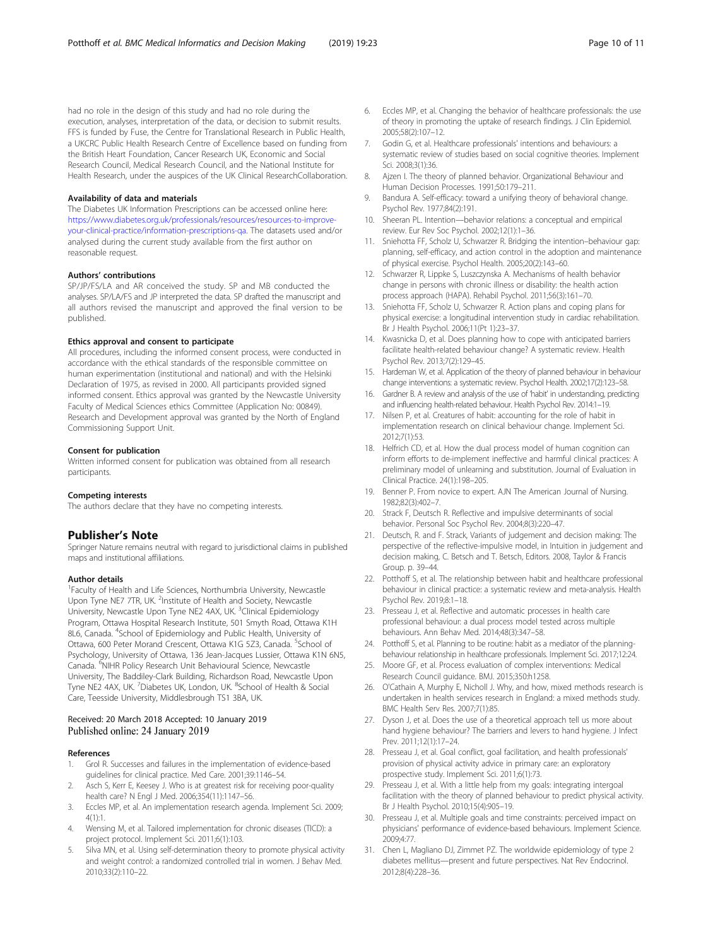<span id="page-9-0"></span>had no role in the design of this study and had no role during the execution, analyses, interpretation of the data, or decision to submit results. FFS is funded by Fuse, the Centre for Translational Research in Public Health, a UKCRC Public Health Research Centre of Excellence based on funding from the British Heart Foundation, Cancer Research UK, Economic and Social Research Council, Medical Research Council, and the National Institute for Health Research, under the auspices of the UK Clinical ResearchCollaboration.

#### Availability of data and materials

The Diabetes UK Information Prescriptions can be accessed online here: [https://www.diabetes.org.uk/professionals/resources/resources-to-improve](https://www.diabetes.org.uk/professionals/resources/resources-to-improve-your-clinical-practice/information-prescriptions-qa)[your-clinical-practice/information-prescriptions-qa.](https://www.diabetes.org.uk/professionals/resources/resources-to-improve-your-clinical-practice/information-prescriptions-qa) The datasets used and/or analysed during the current study available from the first author on reasonable request.

### Authors' contributions

SP/JP/FS/LA and AR conceived the study. SP and MB conducted the analyses. SP/LA/FS and JP interpreted the data. SP drafted the manuscript and all authors revised the manuscript and approved the final version to be published.

#### Ethics approval and consent to participate

All procedures, including the informed consent process, were conducted in accordance with the ethical standards of the responsible committee on human experimentation (institutional and national) and with the Helsinki Declaration of 1975, as revised in 2000. All participants provided signed informed consent. Ethics approval was granted by the Newcastle University Faculty of Medical Sciences ethics Committee (Application No: 00849). Research and Development approval was granted by the North of England Commissioning Support Unit.

#### Consent for publication

Written informed consent for publication was obtained from all research participants.

#### Competing interests

The authors declare that they have no competing interests.

### Publisher's Note

Springer Nature remains neutral with regard to jurisdictional claims in published maps and institutional affiliations.

#### Author details

<sup>1</sup> Faculty of Health and Life Sciences, Northumbria University, Newcastle Upon Tyne NE7 7TR, UK. <sup>2</sup>Institute of Health and Society, Newcastle University, Newcastle Upon Tyne NE2 4AX, UK. <sup>3</sup>Clinical Epidemiology Program, Ottawa Hospital Research Institute, 501 Smyth Road, Ottawa K1H 8L6, Canada. <sup>4</sup>School of Epidemiology and Public Health, University of Ottawa, 600 Peter Morand Crescent, Ottawa K1G 5Z3, Canada. <sup>5</sup>School of Psychology, University of Ottawa, 136 Jean-Jacques Lussier, Ottawa K1N 6N5, Canada. <sup>6</sup>NIHR Policy Research Unit Behavioural Science, Newcastle University, The Baddiley-Clark Building, Richardson Road, Newcastle Upon Tyne NE2 4AX, UK. <sup>7</sup>Diabetes UK, London, UK. <sup>8</sup>School of Health & Social Care, Teesside University, Middlesbrough TS1 3BA, UK.

### Received: 20 March 2018 Accepted: 10 January 2019 Published online: 24 January 2019

#### References

- 1. Grol R. Successes and failures in the implementation of evidence-based guidelines for clinical practice. Med Care. 2001;39:1146–54.
- 2. Asch S, Kerr E, Keesey J. Who is at greatest risk for receiving poor-quality health care? N Engl J Med. 2006;354(11):1147–56.
- 3. Eccles MP, et al. An implementation research agenda. Implement Sci. 2009;  $4(1):1$ .
- 4. Wensing M, et al. Tailored implementation for chronic diseases (TICD): a project protocol. Implement Sci. 2011;6(1):103.
- Silva MN, et al. Using self-determination theory to promote physical activity and weight control: a randomized controlled trial in women. J Behav Med. 2010;33(2):110–22.
- 6. Eccles MP, et al. Changing the behavior of healthcare professionals: the use of theory in promoting the uptake of research findings. J Clin Epidemiol. 2005;58(2):107–12.
- 7. Godin G, et al. Healthcare professionals' intentions and behaviours: a systematic review of studies based on social cognitive theories. Implement Sci. 2008;3(1):36.
- 8. Ajzen I. The theory of planned behavior. Organizational Behaviour and Human Decision Processes. 1991;50:179–211.
- 9. Bandura A. Self-efficacy: toward a unifying theory of behavioral change. Psychol Rev. 1977;84(2):191.
- 10. Sheeran PL. Intention—behavior relations: a conceptual and empirical review. Eur Rev Soc Psychol. 2002;12(1):1–36.
- 11. Sniehotta FF, Scholz U, Schwarzer R. Bridging the intention–behaviour gap: planning, self-efficacy, and action control in the adoption and maintenance of physical exercise. Psychol Health. 2005;20(2):143–60.
- 12. Schwarzer R, Lippke S, Luszczynska A. Mechanisms of health behavior change in persons with chronic illness or disability: the health action process approach (HAPA). Rehabil Psychol. 2011;56(3):161–70.
- 13. Sniehotta FF, Scholz U, Schwarzer R. Action plans and coping plans for physical exercise: a longitudinal intervention study in cardiac rehabilitation. Br J Health Psychol. 2006;11(Pt 1):23–37.
- 14. Kwasnicka D, et al. Does planning how to cope with anticipated barriers facilitate health-related behaviour change? A systematic review. Health Psychol Rev. 2013;7(2):129–45.
- 15. Hardeman W, et al. Application of the theory of planned behaviour in behaviour change interventions: a systematic review. Psychol Health. 2002;17(2):123–58.
- 16. Gardner B. A review and analysis of the use of 'habit' in understanding, predicting and influencing health-related behaviour. Health Psychol Rev. 2014:1–19.
- 17. Nilsen P, et al. Creatures of habit: accounting for the role of habit in implementation research on clinical behaviour change. Implement Sci. 2012;7(1):53.
- 18. Helfrich CD, et al. How the dual process model of human cognition can inform efforts to de-implement ineffective and harmful clinical practices: A preliminary model of unlearning and substitution. Journal of Evaluation in Clinical Practice. 24(1):198–205.
- 19. Benner P. From novice to expert. AJN The American Journal of Nursing. 1982;82(3):402–7.
- 20. Strack F, Deutsch R. Reflective and impulsive determinants of social behavior. Personal Soc Psychol Rev. 2004;8(3):220–47.
- 21. Deutsch, R. and F. Strack, Variants of judgement and decision making: The perspective of the reflective-impulsive model, in Intuition in judgement and decision making, C. Betsch and T. Betsch, Editors. 2008, Taylor & Francis Group. p. 39–44.
- 22. Potthoff S, et al. The relationship between habit and healthcare professional behaviour in clinical practice: a systematic review and meta-analysis. Health Psychol Rev. 2019;8:1–18.
- 23. Presseau J, et al. Reflective and automatic processes in health care professional behaviour: a dual process model tested across multiple behaviours. Ann Behav Med. 2014;48(3):347–58.
- 24. Potthoff S, et al. Planning to be routine: habit as a mediator of the planningbehaviour relationship in healthcare professionals. Implement Sci. 2017;12:24.
- 25. Moore GF, et al. Process evaluation of complex interventions: Medical Research Council guidance. BMJ. 2015;350:h1258.
- 26. O'Cathain A, Murphy E, Nicholl J. Why, and how, mixed methods research is undertaken in health services research in England: a mixed methods study. BMC Health Serv Res. 2007;7(1):85.
- 27. Dyson J, et al. Does the use of a theoretical approach tell us more about hand hygiene behaviour? The barriers and levers to hand hygiene. J Infect Prev. 2011;12(1):17–24.
- 28. Presseau J, et al. Goal conflict, goal facilitation, and health professionals' provision of physical activity advice in primary care: an exploratory prospective study. Implement Sci. 2011;6(1):73.
- 29. Presseau J, et al. With a little help from my goals: integrating intergoal facilitation with the theory of planned behaviour to predict physical activity. Br J Health Psychol. 2010;15(4):905–19.
- 30. Presseau J, et al. Multiple goals and time constraints: perceived impact on physicians' performance of evidence-based behaviours. Implement Science. 2009;4:77.
- 31. Chen L, Magliano DJ, Zimmet PZ. The worldwide epidemiology of type 2 diabetes mellitus—present and future perspectives. Nat Rev Endocrinol. 2012;8(4):228–36.